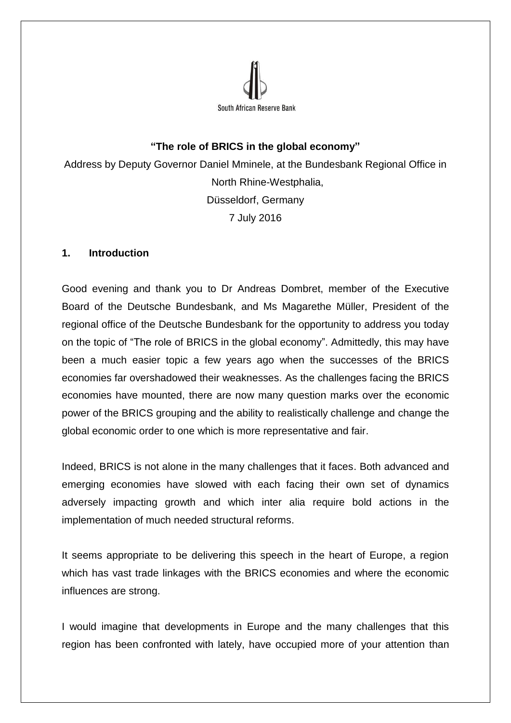

# **"The role of BRICS in the global economy"**

Address by Deputy Governor Daniel Mminele, at the Bundesbank Regional Office in North Rhine-Westphalia, Düsseldorf, Germany 7 July 2016

## **1. Introduction**

Good evening and thank you to Dr Andreas Dombret, member of the Executive Board of the Deutsche Bundesbank, and Ms Magarethe Müller, President of the regional office of the Deutsche Bundesbank for the opportunity to address you today on the topic of "The role of BRICS in the global economy". Admittedly, this may have been a much easier topic a few years ago when the successes of the BRICS economies far overshadowed their weaknesses. As the challenges facing the BRICS economies have mounted, there are now many question marks over the economic power of the BRICS grouping and the ability to realistically challenge and change the global economic order to one which is more representative and fair.

Indeed, BRICS is not alone in the many challenges that it faces. Both advanced and emerging economies have slowed with each facing their own set of dynamics adversely impacting growth and which inter alia require bold actions in the implementation of much needed structural reforms.

It seems appropriate to be delivering this speech in the heart of Europe, a region which has vast trade linkages with the BRICS economies and where the economic influences are strong.

I would imagine that developments in Europe and the many challenges that this region has been confronted with lately, have occupied more of your attention than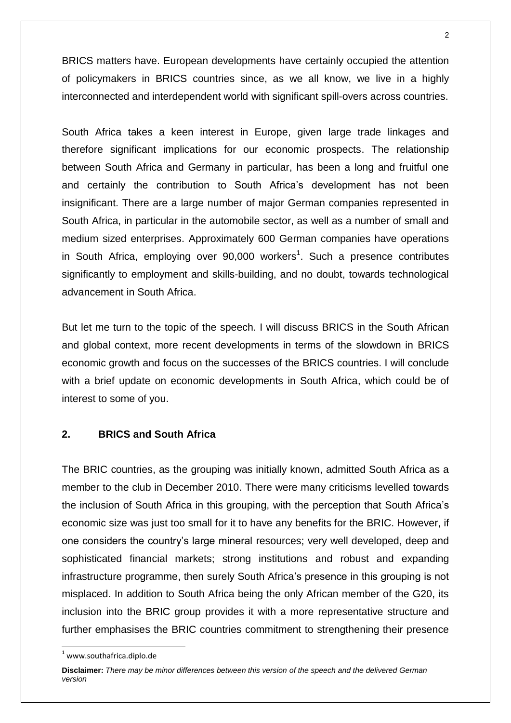BRICS matters have. European developments have certainly occupied the attention of policymakers in BRICS countries since, as we all know, we live in a highly interconnected and interdependent world with significant spill-overs across countries.

South Africa takes a keen interest in Europe, given large trade linkages and therefore significant implications for our economic prospects. The relationship between South Africa and Germany in particular, has been a long and fruitful one and certainly the contribution to South Africa's development has not been insignificant. There are a large number of major German companies represented in South Africa, in particular in the automobile sector, as well as a number of small and medium sized enterprises. Approximately 600 German companies have operations in South Africa, employing over  $90,000$  workers<sup>1</sup>. Such a presence contributes significantly to employment and skills-building, and no doubt, towards technological advancement in South Africa.

But let me turn to the topic of the speech. I will discuss BRICS in the South African and global context, more recent developments in terms of the slowdown in BRICS economic growth and focus on the successes of the BRICS countries. I will conclude with a brief update on economic developments in South Africa, which could be of interest to some of you.

## **2. BRICS and South Africa**

The BRIC countries, as the grouping was initially known, admitted South Africa as a member to the club in December 2010. There were many criticisms levelled towards the inclusion of South Africa in this grouping, with the perception that South Africa's economic size was just too small for it to have any benefits for the BRIC. However, if one considers the country's large mineral resources; very well developed, deep and sophisticated financial markets; strong institutions and robust and expanding infrastructure programme, then surely South Africa's presence in this grouping is not misplaced. In addition to South Africa being the only African member of the G20, its inclusion into the BRIC group provides it with a more representative structure and further emphasises the BRIC countries commitment to strengthening their presence

 $<sup>1</sup>$  www.southafrica.diplo.de</sup>

**Disclaimer:** *There may be minor differences between this version of the speech and the delivered German version*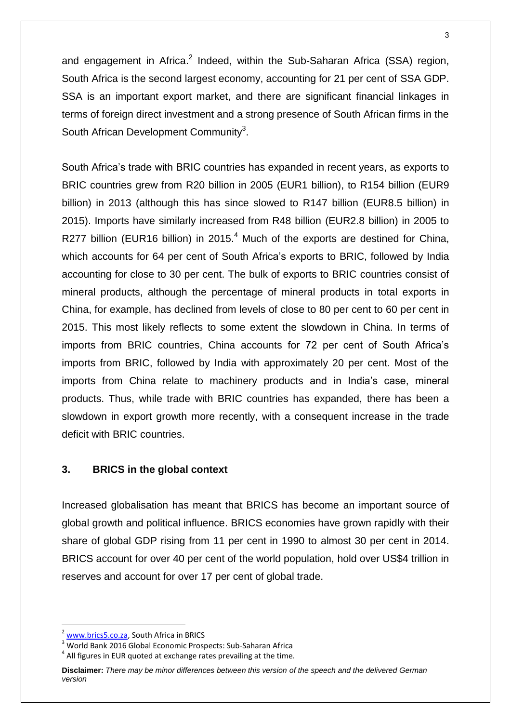and engagement in Africa.<sup>2</sup> Indeed, within the Sub-Saharan Africa (SSA) region, South Africa is the second largest economy, accounting for 21 per cent of SSA GDP. SSA is an important export market, and there are significant financial linkages in terms of foreign direct investment and a strong presence of South African firms in the South African Development Community<sup>3</sup>.

South Africa's trade with BRIC countries has expanded in recent years, as exports to BRIC countries grew from R20 billion in 2005 (EUR1 billion), to R154 billion (EUR9 billion) in 2013 (although this has since slowed to R147 billion (EUR8.5 billion) in 2015). Imports have similarly increased from R48 billion (EUR2.8 billion) in 2005 to R277 billion (EUR16 billion) in 2015.<sup>4</sup> Much of the exports are destined for China, which accounts for 64 per cent of South Africa's exports to BRIC, followed by India accounting for close to 30 per cent. The bulk of exports to BRIC countries consist of mineral products, although the percentage of mineral products in total exports in China, for example, has declined from levels of close to 80 per cent to 60 per cent in 2015. This most likely reflects to some extent the slowdown in China. In terms of imports from BRIC countries, China accounts for 72 per cent of South Africa's imports from BRIC, followed by India with approximately 20 per cent. Most of the imports from China relate to machinery products and in India's case, mineral products. Thus, while trade with BRIC countries has expanded, there has been a slowdown in export growth more recently, with a consequent increase in the trade deficit with BRIC countries.

### **3. BRICS in the global context**

Increased globalisation has meant that BRICS has become an important source of global growth and political influence. BRICS economies have grown rapidly with their share of global GDP rising from 11 per cent in 1990 to almost 30 per cent in 2014. BRICS account for over 40 per cent of the world population, hold over US\$4 trillion in reserves and account for over 17 per cent of global trade.

[www.brics5.co.za,](http://www.brics5.co.za/) South Africa in BRICS

<sup>3</sup> World Bank 2016 Global Economic Prospects: Sub-Saharan Africa

 $<sup>4</sup>$  All figures in EUR quoted at exchange rates prevailing at the time.</sup>

**Disclaimer:** *There may be minor differences between this version of the speech and the delivered German version*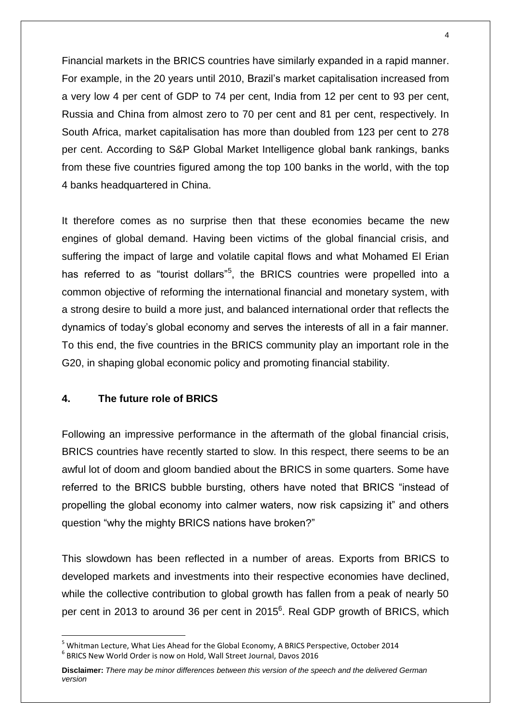Financial markets in the BRICS countries have similarly expanded in a rapid manner. For example, in the 20 years until 2010, Brazil's market capitalisation increased from a very low 4 per cent of GDP to 74 per cent, India from 12 per cent to 93 per cent, Russia and China from almost zero to 70 per cent and 81 per cent, respectively. In South Africa, market capitalisation has more than doubled from 123 per cent to 278 per cent. According to S&P Global Market Intelligence global bank rankings, banks from these five countries figured among the top 100 banks in the world, with the top 4 banks headquartered in China.

It therefore comes as no surprise then that these economies became the new engines of global demand. Having been victims of the global financial crisis, and suffering the impact of large and volatile capital flows and what Mohamed El Erian has referred to as "tourist dollars"<sup>5</sup>, the BRICS countries were propelled into a common objective of reforming the international financial and monetary system, with a strong desire to build a more just, and balanced international order that reflects the dynamics of today's global economy and serves the interests of all in a fair manner. To this end, the five countries in the BRICS community play an important role in the G20, in shaping global economic policy and promoting financial stability.

# **4. The future role of BRICS**

**.** 

Following an impressive performance in the aftermath of the global financial crisis, BRICS countries have recently started to slow. In this respect, there seems to be an awful lot of doom and gloom bandied about the BRICS in some quarters. Some have referred to the BRICS bubble bursting, others have noted that BRICS "instead of propelling the global economy into calmer waters, now risk capsizing it" and others question "why the mighty BRICS nations have broken?"

This slowdown has been reflected in a number of areas. Exports from BRICS to developed markets and investments into their respective economies have declined, while the collective contribution to global growth has fallen from a peak of nearly 50 per cent in 2013 to around 36 per cent in 2015<sup>6</sup>. Real GDP growth of BRICS, which

<sup>5</sup> Whitman Lecture, What Lies Ahead for the Global Economy, A BRICS Perspective, October 2014 6 BRICS New World Order is now on Hold, Wall Street Journal, Davos 2016

**Disclaimer:** *There may be minor differences between this version of the speech and the delivered German version*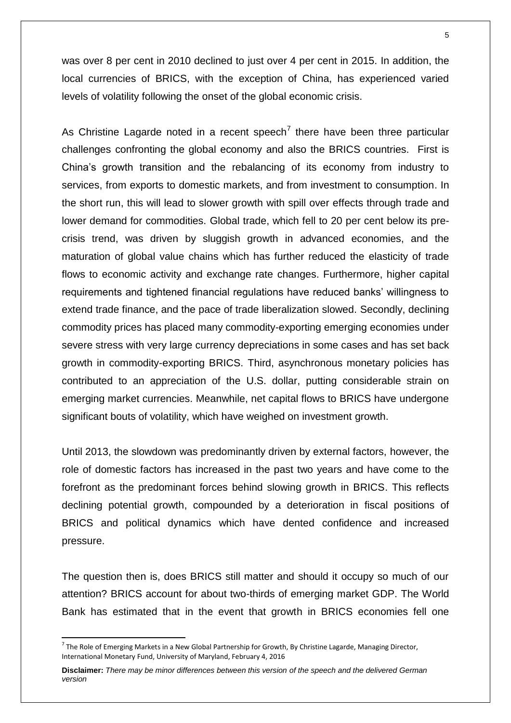was over 8 per cent in 2010 declined to just over 4 per cent in 2015. In addition, the local currencies of BRICS, with the exception of China, has experienced varied levels of volatility following the onset of the global economic crisis.

As Christine Lagarde noted in a recent speech<sup>7</sup> there have been three particular challenges confronting the global economy and also the BRICS countries. First is China's growth transition and the rebalancing of its economy from industry to services, from exports to domestic markets, and from investment to consumption. In the short run, this will lead to slower growth with spill over effects through trade and lower demand for commodities. Global trade, which fell to 20 per cent below its precrisis trend, was driven by sluggish growth in advanced economies, and the maturation of global value chains which has further reduced the elasticity of trade flows to economic activity and exchange rate changes. Furthermore, higher capital requirements and tightened financial regulations have reduced banks' willingness to extend trade finance, and the pace of trade liberalization slowed. Secondly, declining commodity prices has placed many commodity-exporting emerging economies under severe stress with very large currency depreciations in some cases and has set back growth in commodity-exporting BRICS. Third, asynchronous monetary policies has contributed to an appreciation of the U.S. dollar, putting considerable strain on emerging market currencies. Meanwhile, net capital flows to BRICS have undergone significant bouts of volatility, which have weighed on investment growth.

Until 2013, the slowdown was predominantly driven by external factors, however, the role of domestic factors has increased in the past two years and have come to the forefront as the predominant forces behind slowing growth in BRICS. This reflects declining potential growth, compounded by a deterioration in fiscal positions of BRICS and political dynamics which have dented confidence and increased pressure.

The question then is, does BRICS still matter and should it occupy so much of our attention? BRICS account for about two-thirds of emerging market GDP. The World Bank has estimated that in the event that growth in BRICS economies fell one

 $^7$  The Role of Emerging Markets in a New Global Partnership for Growth, By Christine Lagarde, Managing Director, International Monetary Fund, University of Maryland, February 4, 2016

**Disclaimer:** *There may be minor differences between this version of the speech and the delivered German version*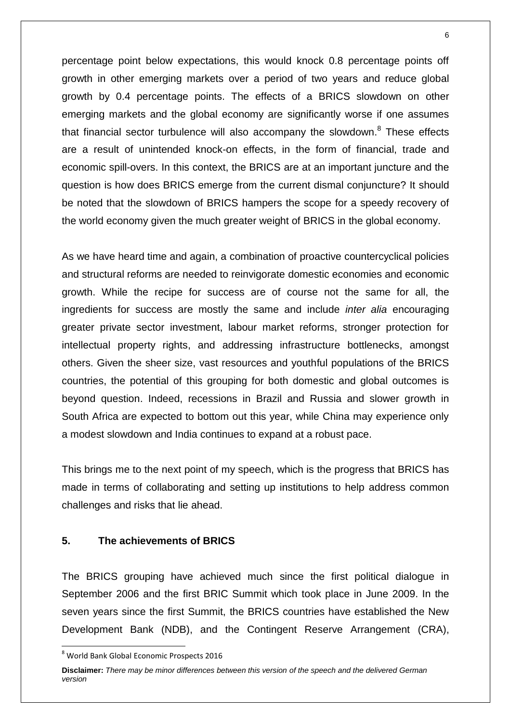percentage point below expectations, this would knock 0.8 percentage points off growth in other emerging markets over a period of two years and reduce global growth by 0.4 percentage points. The effects of a BRICS slowdown on other emerging markets and the global economy are significantly worse if one assumes that financial sector turbulence will also accompany the slowdown.<sup>8</sup> These effects are a result of unintended knock-on effects, in the form of financial, trade and economic spill-overs. In this context, the BRICS are at an important juncture and the question is how does BRICS emerge from the current dismal conjuncture? It should be noted that the slowdown of BRICS hampers the scope for a speedy recovery of the world economy given the much greater weight of BRICS in the global economy.

As we have heard time and again, a combination of proactive countercyclical policies and structural reforms are needed to reinvigorate domestic economies and economic growth. While the recipe for success are of course not the same for all, the ingredients for success are mostly the same and include *inter alia* encouraging greater private sector investment, labour market reforms, stronger protection for intellectual property rights, and addressing infrastructure bottlenecks, amongst others. Given the sheer size, vast resources and youthful populations of the BRICS countries, the potential of this grouping for both domestic and global outcomes is beyond question. Indeed, recessions in Brazil and Russia and slower growth in South Africa are expected to bottom out this year, while China may experience only a modest slowdown and India continues to expand at a robust pace.

This brings me to the next point of my speech, which is the progress that BRICS has made in terms of collaborating and setting up institutions to help address common challenges and risks that lie ahead.

#### **5. The achievements of BRICS**

The BRICS grouping have achieved much since the first political dialogue in September 2006 and the first BRIC Summit which took place in June 2009. In the seven years since the first Summit, the BRICS countries have established the New Development Bank (NDB), and the Contingent Reserve Arrangement (CRA),

<sup>8</sup> World Bank Global Economic Prospects 2016

**Disclaimer:** *There may be minor differences between this version of the speech and the delivered German version*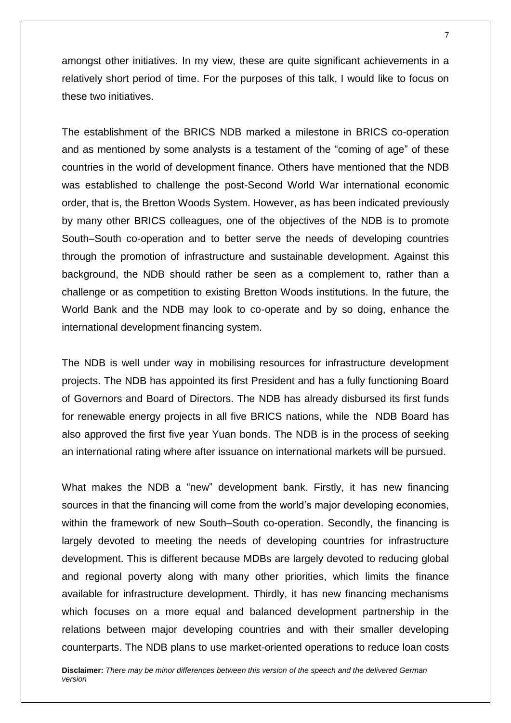amongst other initiatives. In my view, these are quite significant achievements in a relatively short period of time. For the purposes of this talk, I would like to focus on these two initiatives.

The establishment of the BRICS NDB marked a milestone in BRICS co-operation and as mentioned by some analysts is a testament of the "coming of age" of these countries in the world of development finance. Others have mentioned that the NDB was established to challenge the post-Second World War international economic order, that is, the Bretton Woods System. However, as has been indicated previously by many other BRICS colleagues, one of the objectives of the NDB is to promote South–South co-operation and to better serve the needs of developing countries through the promotion of infrastructure and sustainable development. Against this background, the NDB should rather be seen as a complement to, rather than a challenge or as competition to existing Bretton Woods institutions. In the future, the World Bank and the NDB may look to co-operate and by so doing, enhance the international development financing system.

The NDB is well under way in mobilising resources for infrastructure development projects. The NDB has appointed its first President and has a fully functioning Board of Governors and Board of Directors. The NDB has already disbursed its first funds for renewable energy projects in all five BRICS nations, while the NDB Board has also approved the first five year Yuan bonds. The NDB is in the process of seeking an international rating where after issuance on international markets will be pursued.

What makes the NDB a "new" development bank. Firstly, it has new financing sources in that the financing will come from the world's major developing economies, within the framework of new South–South co-operation. Secondly, the financing is largely devoted to meeting the needs of developing countries for infrastructure development. This is different because MDBs are largely devoted to reducing global and regional poverty along with many other priorities, which limits the finance available for infrastructure development. Thirdly, it has new financing mechanisms which focuses on a more equal and balanced development partnership in the relations between major developing countries and with their smaller developing counterparts. The NDB plans to use market-oriented operations to reduce loan costs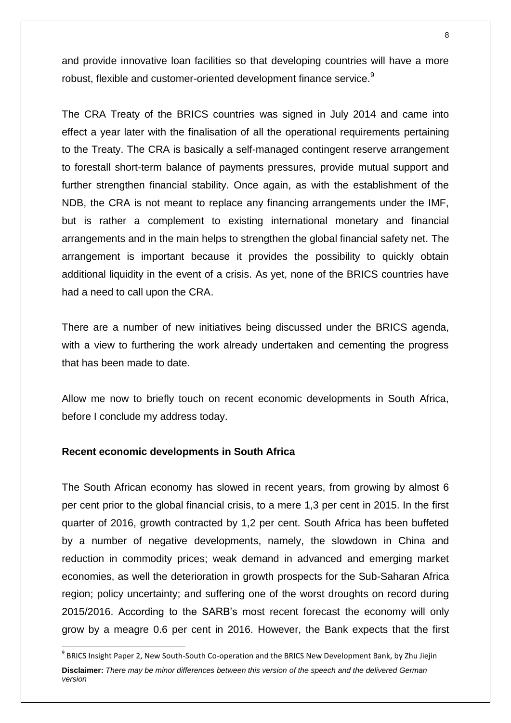and provide innovative loan facilities so that developing countries will have a more robust, flexible and customer-oriented development finance service.<sup>9</sup>

The CRA Treaty of the BRICS countries was signed in July 2014 and came into effect a year later with the finalisation of all the operational requirements pertaining to the Treaty. The CRA is basically a self-managed contingent reserve arrangement to forestall short-term balance of payments pressures, provide mutual support and further strengthen financial stability. Once again, as with the establishment of the NDB, the CRA is not meant to replace any financing arrangements under the IMF, but is rather a complement to existing international monetary and financial arrangements and in the main helps to strengthen the global financial safety net. The arrangement is important because it provides the possibility to quickly obtain additional liquidity in the event of a crisis. As yet, none of the BRICS countries have had a need to call upon the CRA.

There are a number of new initiatives being discussed under the BRICS agenda, with a view to furthering the work already undertaken and cementing the progress that has been made to date.

Allow me now to briefly touch on recent economic developments in South Africa, before I conclude my address today.

#### **Recent economic developments in South Africa**

**.** 

The South African economy has slowed in recent years, from growing by almost 6 per cent prior to the global financial crisis, to a mere 1,3 per cent in 2015. In the first quarter of 2016, growth contracted by 1,2 per cent. South Africa has been buffeted by a number of negative developments, namely, the slowdown in China and reduction in commodity prices; weak demand in advanced and emerging market economies, as well the deterioration in growth prospects for the Sub-Saharan Africa region; policy uncertainty; and suffering one of the worst droughts on record during 2015/2016. According to the SARB's most recent forecast the economy will only grow by a meagre 0.6 per cent in 2016. However, the Bank expects that the first

**Disclaimer:** *There may be minor differences between this version of the speech and the delivered German version*  <sup>9</sup> BRICS Insight Paper 2, New South-South Co-operation and the BRICS New Development Bank, by Zhu Jiejin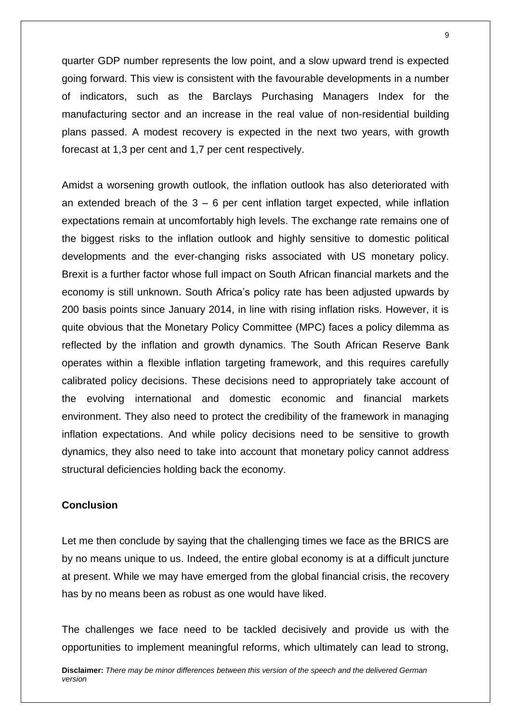quarter GDP number represents the low point, and a slow upward trend is expected going forward. This view is consistent with the favourable developments in a number of indicators, such as the Barclays Purchasing Managers Index for the manufacturing sector and an increase in the real value of non-residential building plans passed. A modest recovery is expected in the next two years, with growth forecast at 1,3 per cent and 1,7 per cent respectively.

Amidst a worsening growth outlook, the inflation outlook has also deteriorated with an extended breach of the  $3 - 6$  per cent inflation target expected, while inflation expectations remain at uncomfortably high levels. The exchange rate remains one of the biggest risks to the inflation outlook and highly sensitive to domestic political developments and the ever-changing risks associated with US monetary policy. Brexit is a further factor whose full impact on South African financial markets and the economy is still unknown. South Africa's policy rate has been adjusted upwards by 200 basis points since January 2014, in line with rising inflation risks. However, it is quite obvious that the Monetary Policy Committee (MPC) faces a policy dilemma as reflected by the inflation and growth dynamics. The South African Reserve Bank operates within a flexible inflation targeting framework, and this requires carefully calibrated policy decisions. These decisions need to appropriately take account of the evolving international and domestic economic and financial markets environment. They also need to protect the credibility of the framework in managing inflation expectations. And while policy decisions need to be sensitive to growth dynamics, they also need to take into account that monetary policy cannot address structural deficiencies holding back the economy.

### **Conclusion**

Let me then conclude by saying that the challenging times we face as the BRICS are by no means unique to us. Indeed, the entire global economy is at a difficult juncture at present. While we may have emerged from the global financial crisis, the recovery has by no means been as robust as one would have liked.

The challenges we face need to be tackled decisively and provide us with the opportunities to implement meaningful reforms, which ultimately can lead to strong,

**Disclaimer:** *There may be minor differences between this version of the speech and the delivered German version*